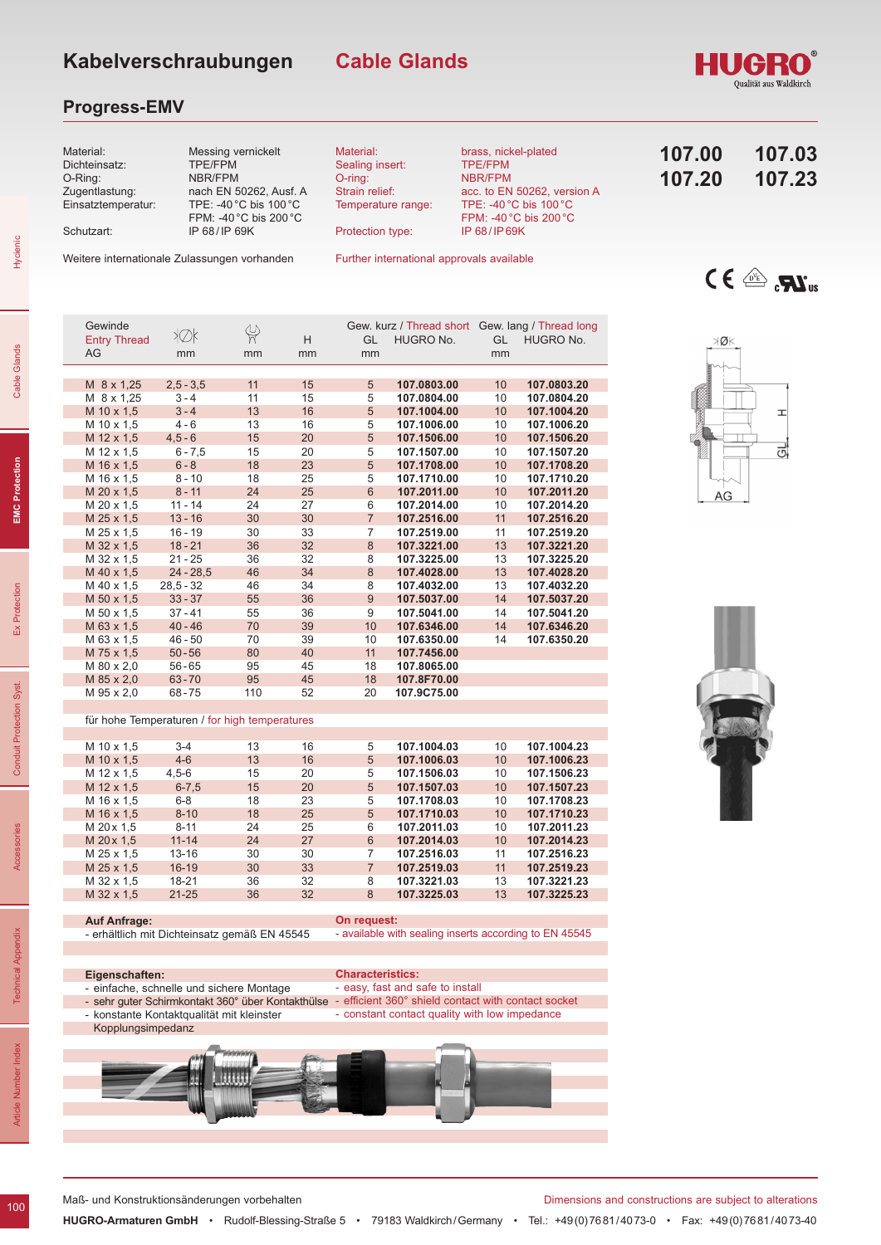## **Progress-EMV**



**Cable Glands**

Weitere internationale Zulassungen vorhanden

Further international approvals available

| <b>Entry Thread</b> | 4∨N                                           | দ   | H  | GL             | HUGRO No.   | GL | HUGRO No.   |
|---------------------|-----------------------------------------------|-----|----|----------------|-------------|----|-------------|
| AG                  | mm                                            | mm  | mm | mm             |             | mm |             |
|                     |                                               |     |    |                |             |    |             |
| M 8 x 1,25          | $2,5 - 3,5$                                   | 11  | 15 | 5              | 107.0803.00 | 10 | 107.0803.20 |
| M 8 x 1,25          | $3 - 4$                                       | 11  | 15 | 5              | 107.0804.00 | 10 | 107.0804.20 |
| M 10 x 1.5          | $3 - 4$                                       | 13  | 16 | $\sqrt{5}$     | 107.1004.00 | 10 | 107.1004.20 |
| M 10 x 1,5          | $4 - 6$                                       | 13  | 16 | 5              | 107.1006.00 | 10 | 107.1006.20 |
| M 12 x 1.5          | $4,5 - 6$                                     | 15  | 20 | 5              | 107.1506.00 | 10 | 107.1506.20 |
| M 12 x 1,5          | $6 - 7,5$                                     | 15  | 20 | 5              | 107.1507.00 | 10 | 107.1507.20 |
| M 16 x 1,5          | $6 - 8$                                       | 18  | 23 | $\sqrt{5}$     | 107.1708.00 | 10 | 107.1708.20 |
| M 16 x 1,5          | $8 - 10$                                      | 18  | 25 | 5              | 107.1710.00 | 10 | 107.1710.20 |
| M 20 x 1,5          | $8 - 11$                                      | 24  | 25 | $6\phantom{1}$ | 107.2011.00 | 10 | 107.2011.20 |
| M 20 x 1,5          | $11 - 14$                                     | 24  | 27 | 6              | 107.2014.00 | 10 | 107.2014.20 |
| M 25 x 1,5          | $13 - 16$                                     | 30  | 30 | $\overline{7}$ | 107.2516.00 | 11 | 107.2516.20 |
| M 25 x 1,5          | $16 - 19$                                     | 30  | 33 | $\overline{7}$ | 107.2519.00 | 11 | 107.2519.20 |
| M 32 x 1,5          | $18 - 21$                                     | 36  | 32 | $\bf 8$        | 107.3221.00 | 13 | 107.3221.20 |
| M 32 x 1,5          | $21 - 25$                                     | 36  | 32 | 8              | 107.3225.00 | 13 | 107.3225.20 |
| M 40 x 1,5          | $24 - 28,5$                                   | 46  | 34 | 8              | 107.4028.00 | 13 | 107.4028.20 |
| M 40 x 1,5          | $28,5 - 32$                                   | 46  | 34 | 8              | 107.4032.00 | 13 | 107.4032.20 |
| M 50 x 1,5          | $33 - 37$                                     | 55  | 36 | $9$            | 107.5037.00 | 14 | 107.5037.20 |
| M 50 x 1,5          | $37 - 41$                                     | 55  | 36 | 9              | 107.5041.00 | 14 | 107.5041.20 |
| M 63 x 1,5          | $40 - 46$                                     | 70  | 39 | 10             | 107.6346.00 | 14 | 107.6346.20 |
| M 63 x 1,5          | $46 - 50$                                     | 70  | 39 | 10             | 107.6350.00 | 14 | 107.6350.20 |
| M 75 x 1,5          | $50 - 56$                                     | 80  | 40 | 11             | 107.7456.00 |    |             |
| M 80 x 2,0          | $56 - 65$                                     | 95  | 45 | 18             | 107.8065.00 |    |             |
| M 85 x 2,0          | $63 - 70$                                     | 95  | 45 | 18             | 107.8F70.00 |    |             |
| M 95 x 2,0          | $68 - 75$                                     | 110 | 52 | 20             | 107.9C75.00 |    |             |
|                     |                                               |     |    |                |             |    |             |
|                     | für hohe Temperaturen / for high temperatures |     |    |                |             |    |             |
|                     |                                               |     |    |                |             |    |             |
| M 10 x 1,5          | $3 - 4$                                       | 13  | 16 | 5              | 107.1004.03 | 10 | 107.1004.23 |
| M 10 x 1,5          | $4 - 6$                                       | 13  | 16 | 5              | 107.1006.03 | 10 | 107.1006.23 |
| M 12 x 1,5          | $4,5 - 6$                                     | 15  | 20 | 5              | 107.1506.03 | 10 | 107.1506.23 |
| M 12 x 1,5          | $6 - 7,5$                                     | 15  | 20 | 5              | 107.1507.03 | 10 | 107.1507.23 |
| M 16 x 1,5          | $6 - 8$                                       | 18  | 23 | 5              | 107.1708.03 | 10 | 107.1708.23 |
| M 16 x 1,5          | $8 - 10$                                      | 18  | 25 | 5              | 107.1710.03 | 10 | 107.1710.23 |
| M 20 x 1,5          | $8 - 11$                                      | 24  | 25 | 6              | 107.2011.03 | 10 | 107.2011.23 |
| M 20 x 1,5          | $11 - 14$                                     | 24  | 27 | $\,6\,$        | 107.2014.03 | 10 | 107.2014.23 |
| M 25 x 1,5          | 13-16                                         | 30  | 30 | $\overline{7}$ | 107.2516.03 | 11 | 107.2516.23 |
| M 25 x 1,5          | $16-19$                                       | 30  | 33 | $\overline{7}$ | 107.2519.03 | 11 | 107.2519.23 |
| M 32 x 1,5          | 18-21                                         | 36  | 32 | 8              | 107.3221.03 | 13 | 107.3221.23 |

M 32 x 1,5 18-21 36 32 8 **107.3221.03** 13 **107.3221.23** M 32 x 1,5 21-25 36 32 8 **107.3225.03** 13 **107.3225.23**

**On request:**

**Characteristics:**

easy, fast and safe to install

Gewinde Gew. kurz / Thread short Gew. lang / Thread long

# $C \in \mathbb{R}$  .  $\mathbb{R}^n$

HUGRO





Hycienic

Cable Glands

**EMC Protection** 

Ex Protection

Conduit Protection Syst.

**Auf Anfrage:**

**Eigenschaften:** 

Kopplungsimpedanz

- erhältlich mit Dichteinsatz gemäß EN 45545

einfache, schnelle und sichere Montage - sehr guter Schirmkontakt 360° über Kontakthülse - konstante Kontaktqualität mit kleinster

Maß- und Konstruktionsänderungen vorbehalten Dimensions and constructions are subject to alterations

- available with sealing inserts according to EN 45545

- efficient 360° shield contact with contact socket - constant contact quality with low impedance